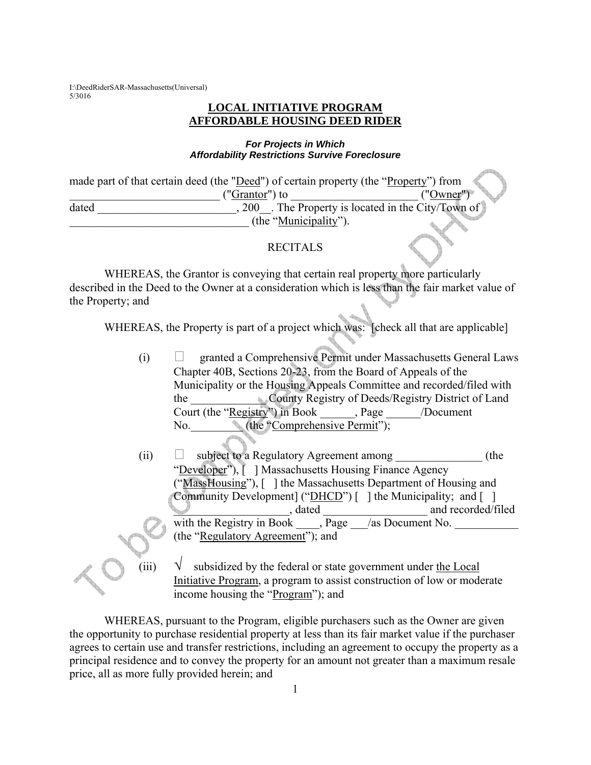I:\DeedRiderSAR-Massachusetts(Universal) 5/3016

## **LOCAL INITIATIVE PROGRAM AFFORDABLE HOUSING DEED RIDER**

## *For Projects in Which Affordability Restrictions Survive Foreclosure*

|       | made part of that certain deed (the " <u>Deed</u> ") of certain property (the "Property") from |                                                              |
|-------|------------------------------------------------------------------------------------------------|--------------------------------------------------------------|
|       | ("Grantor") to                                                                                 | ("Owner")                                                    |
| dated | <b>200</b>                                                                                     | . The Property is located in the City/Town of $\blacksquare$ |
|       | (the "Municipality").                                                                          |                                                              |

## RECITALS

 WHEREAS, the Grantor is conveying that certain real property more particularly described in the Deed to the Owner at a consideration which is less than the fair market value of the Property; and

WHEREAS, the Property is part of a project which was: [check all that are applicable]

- $(i)$  granted a Comprehensive Permit under Massachusetts General Laws Chapter 40B, Sections 20-23, from the Board of Appeals of the Municipality or the Housing Appeals Committee and recorded/filed with the County Registry of Deeds/Registry District of Land Court (the "Registry") in Book \_\_\_\_\_\_, Page \_\_\_\_\_\_/Document No. (the "Comprehensive Permit");
- (ii)  $\Box$  subject to a Regulatory Agreement among  $(the$ "Developer"), [ ] Massachusetts Housing Finance Agency ("MassHousing"), [ ] the Massachusetts Department of Housing and Community Development] ("DHCD") [ ] the Municipality; and [ ] \_\_\_\_\_\_\_\_\_\_\_\_\_\_\_\_\_\_\_\_, dated \_\_\_\_\_\_\_\_\_\_\_\_\_\_\_\_\_\_ and recorded/filed with the Registry in Book \_\_\_\_, Page \_\_\_/as Document No. \_\_\_\_\_\_\_\_\_\_\_ (the "Regulatory Agreement"); and



(iii)  $\sqrt{\ }$  subsidized by the federal or state government under the Local Initiative Program, a program to assist construction of low or moderate income housing the "Program"); and

 WHEREAS, pursuant to the Program, eligible purchasers such as the Owner are given the opportunity to purchase residential property at less than its fair market value if the purchaser agrees to certain use and transfer restrictions, including an agreement to occupy the property as a principal residence and to convey the property for an amount not greater than a maximum resale price, all as more fully provided herein; and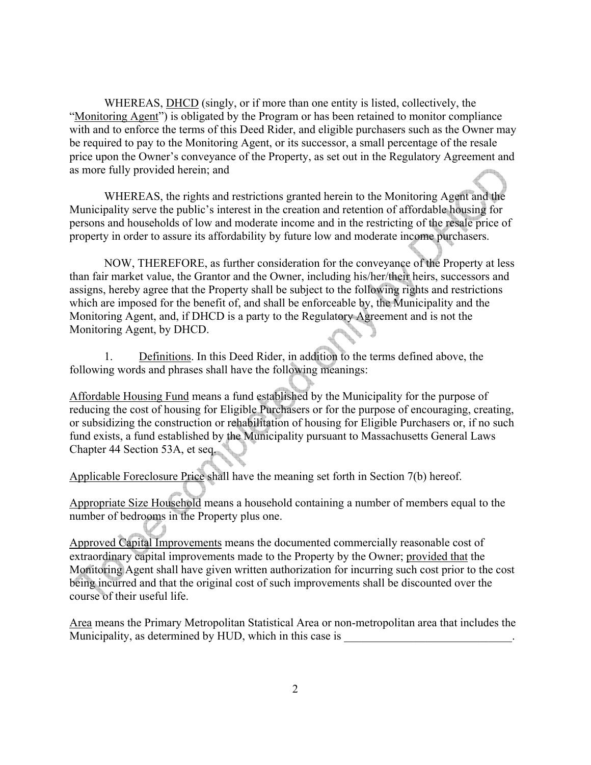WHEREAS, DHCD (singly, or if more than one entity is listed, collectively, the "Monitoring Agent") is obligated by the Program or has been retained to monitor compliance with and to enforce the terms of this Deed Rider, and eligible purchasers such as the Owner may be required to pay to the Monitoring Agent, or its successor, a small percentage of the resale price upon the Owner's conveyance of the Property, as set out in the Regulatory Agreement and as more fully provided herein; and

 WHEREAS, the rights and restrictions granted herein to the Monitoring Agent and the Municipality serve the public's interest in the creation and retention of affordable housing for persons and households of low and moderate income and in the restricting of the resale price of property in order to assure its affordability by future low and moderate income purchasers.

 NOW, THEREFORE, as further consideration for the conveyance of the Property at less than fair market value, the Grantor and the Owner, including his/her/their heirs, successors and assigns, hereby agree that the Property shall be subject to the following rights and restrictions which are imposed for the benefit of, and shall be enforceable by, the Municipality and the Monitoring Agent, and, if DHCD is a party to the Regulatory Agreement and is not the Monitoring Agent, by DHCD.

 1. Definitions. In this Deed Rider, in addition to the terms defined above, the following words and phrases shall have the following meanings:

Affordable Housing Fund means a fund established by the Municipality for the purpose of reducing the cost of housing for Eligible Purchasers or for the purpose of encouraging, creating, or subsidizing the construction or rehabilitation of housing for Eligible Purchasers or, if no such fund exists, a fund established by the Municipality pursuant to Massachusetts General Laws Chapter 44 Section 53A, et seq.

Applicable Foreclosure Price shall have the meaning set forth in Section 7(b) hereof.

Appropriate Size Household means a household containing a number of members equal to the number of bedrooms in the Property plus one.

Approved Capital Improvements means the documented commercially reasonable cost of extraordinary capital improvements made to the Property by the Owner; provided that the Monitoring Agent shall have given written authorization for incurring such cost prior to the cost being incurred and that the original cost of such improvements shall be discounted over the course of their useful life.

Area means the Primary Metropolitan Statistical Area or non-metropolitan area that includes the Municipality, as determined by HUD, which in this case is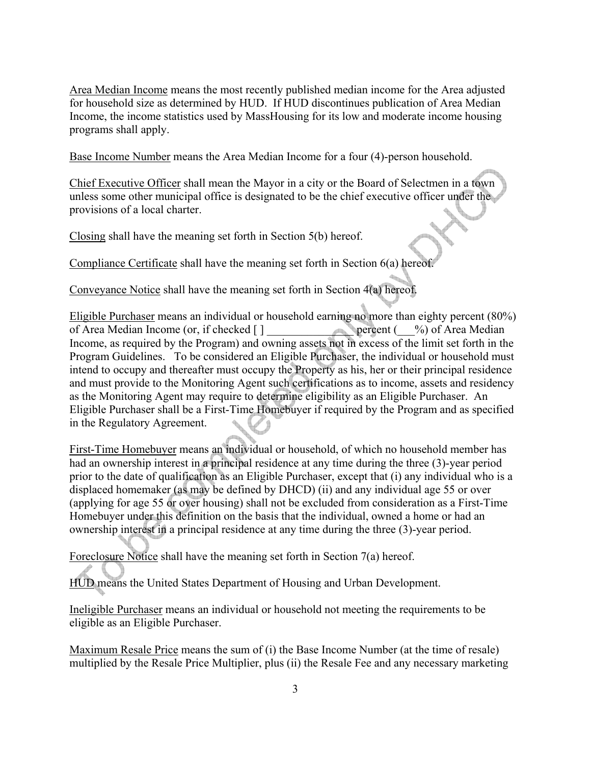Area Median Income means the most recently published median income for the Area adjusted for household size as determined by HUD. If HUD discontinues publication of Area Median Income, the income statistics used by MassHousing for its low and moderate income housing programs shall apply.

Base Income Number means the Area Median Income for a four (4)-person household.

Chief Executive Officer shall mean the Mayor in a city or the Board of Selectmen in a town unless some other municipal office is designated to be the chief executive officer under the provisions of a local charter.

Closing shall have the meaning set forth in Section 5(b) hereof.

Compliance Certificate shall have the meaning set forth in Section 6(a) hereof.

Conveyance Notice shall have the meaning set forth in Section 4(a) hereof.

Eligible Purchaser means an individual or household earning no more than eighty percent (80%) of Area Median Income (or, if checked []  $\qquad \qquad \text{percent}$  ( $\qquad \text{%}$ ) of Area Median Income, as required by the Program) and owning assets not in excess of the limit set forth in the Program Guidelines. To be considered an Eligible Purchaser, the individual or household must intend to occupy and thereafter must occupy the Property as his, her or their principal residence and must provide to the Monitoring Agent such certifications as to income, assets and residency as the Monitoring Agent may require to determine eligibility as an Eligible Purchaser. An Eligible Purchaser shall be a First-Time Homebuyer if required by the Program and as specified in the Regulatory Agreement.

First-Time Homebuyer means an individual or household, of which no household member has had an ownership interest in a principal residence at any time during the three (3)-year period prior to the date of qualification as an Eligible Purchaser, except that (i) any individual who is a displaced homemaker (as may be defined by DHCD) (ii) and any individual age 55 or over (applying for age 55 or over housing) shall not be excluded from consideration as a First-Time Homebuyer under this definition on the basis that the individual, owned a home or had an ownership interest in a principal residence at any time during the three (3)-year period.

Foreclosure Notice shall have the meaning set forth in Section 7(a) hereof.

HUD means the United States Department of Housing and Urban Development.

Ineligible Purchaser means an individual or household not meeting the requirements to be eligible as an Eligible Purchaser.

Maximum Resale Price means the sum of (i) the Base Income Number (at the time of resale) multiplied by the Resale Price Multiplier, plus (ii) the Resale Fee and any necessary marketing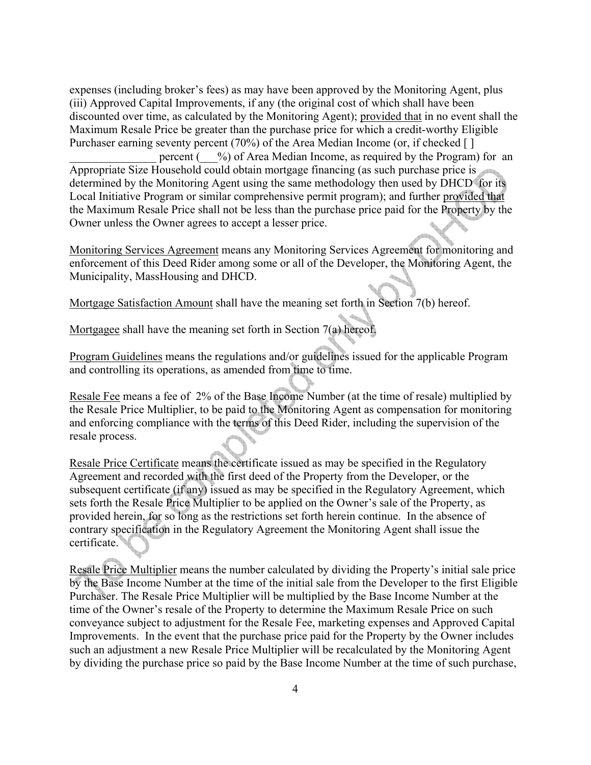expenses (including broker's fees) as may have been approved by the Monitoring Agent, plus (iii) Approved Capital Improvements, if any (the original cost of which shall have been discounted over time, as calculated by the Monitoring Agent); provided that in no event shall the Maximum Resale Price be greater than the purchase price for which a credit-worthy Eligible Purchaser earning seventy percent (70%) of the Area Median Income (or, if checked []

percent ( $\frac{\%}{\%}$ ) of Area Median Income, as required by the Program) for an Appropriate Size Household could obtain mortgage financing (as such purchase price is determined by the Monitoring Agent using the same methodology then used by DHCD for its Local Initiative Program or similar comprehensive permit program); and further provided that the Maximum Resale Price shall not be less than the purchase price paid for the Property by the Owner unless the Owner agrees to accept a lesser price.

Monitoring Services Agreement means any Monitoring Services Agreement for monitoring and enforcement of this Deed Rider among some or all of the Developer, the Monitoring Agent, the Municipality, MassHousing and DHCD.

Mortgage Satisfaction Amount shall have the meaning set forth in Section 7(b) hereof.

Mortgagee shall have the meaning set forth in Section 7(a) hereof.

Program Guidelines means the regulations and/or guidelines issued for the applicable Program and controlling its operations, as amended from time to time.

Resale Fee means a fee of 2% of the Base Income Number (at the time of resale) multiplied by the Resale Price Multiplier, to be paid to the Monitoring Agent as compensation for monitoring and enforcing compliance with the terms of this Deed Rider, including the supervision of the resale process.

Resale Price Certificate means the certificate issued as may be specified in the Regulatory Agreement and recorded with the first deed of the Property from the Developer, or the subsequent certificate (if any) issued as may be specified in the Regulatory Agreement, which sets forth the Resale Price Multiplier to be applied on the Owner's sale of the Property, as provided herein, for so long as the restrictions set forth herein continue. In the absence of contrary specification in the Regulatory Agreement the Monitoring Agent shall issue the certificate.

Resale Price Multiplier means the number calculated by dividing the Property's initial sale price by the Base Income Number at the time of the initial sale from the Developer to the first Eligible Purchaser. The Resale Price Multiplier will be multiplied by the Base Income Number at the time of the Owner's resale of the Property to determine the Maximum Resale Price on such conveyance subject to adjustment for the Resale Fee, marketing expenses and Approved Capital Improvements. In the event that the purchase price paid for the Property by the Owner includes such an adjustment a new Resale Price Multiplier will be recalculated by the Monitoring Agent by dividing the purchase price so paid by the Base Income Number at the time of such purchase,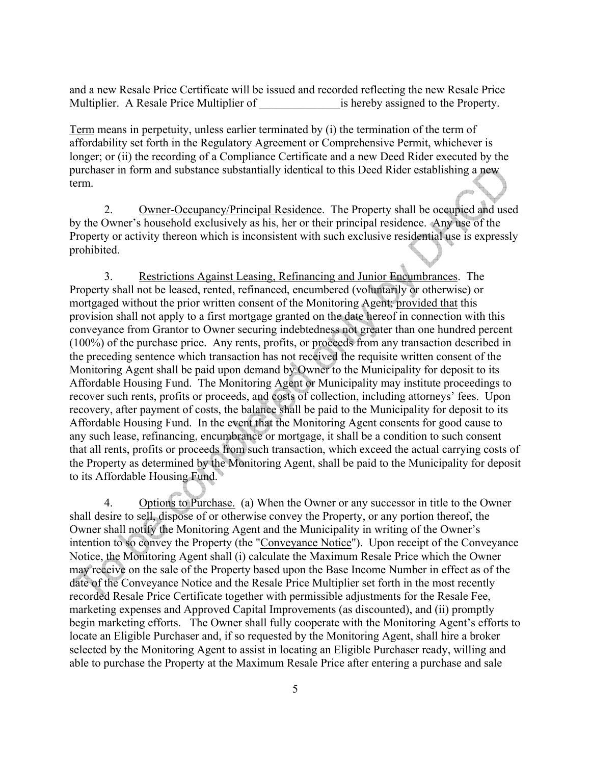and a new Resale Price Certificate will be issued and recorded reflecting the new Resale Price Multiplier. A Resale Price Multiplier of  $\qquad \qquad$  is hereby assigned to the Property.

Term means in perpetuity, unless earlier terminated by (i) the termination of the term of affordability set forth in the Regulatory Agreement or Comprehensive Permit, whichever is longer; or (ii) the recording of a Compliance Certificate and a new Deed Rider executed by the purchaser in form and substance substantially identical to this Deed Rider establishing a new term.

2. Owner-Occupancy/Principal Residence. The Property shall be occupied and used by the Owner's household exclusively as his, her or their principal residence. Any use of the Property or activity thereon which is inconsistent with such exclusive residential use is expressly prohibited.

 3. Restrictions Against Leasing, Refinancing and Junior Encumbrances. The Property shall not be leased, rented, refinanced, encumbered (voluntarily or otherwise) or mortgaged without the prior written consent of the Monitoring Agent; provided that this provision shall not apply to a first mortgage granted on the date hereof in connection with this conveyance from Grantor to Owner securing indebtedness not greater than one hundred percent (100%) of the purchase price. Any rents, profits, or proceeds from any transaction described in the preceding sentence which transaction has not received the requisite written consent of the Monitoring Agent shall be paid upon demand by Owner to the Municipality for deposit to its Affordable Housing Fund. The Monitoring Agent or Municipality may institute proceedings to recover such rents, profits or proceeds, and costs of collection, including attorneys' fees. Upon recovery, after payment of costs, the balance shall be paid to the Municipality for deposit to its Affordable Housing Fund. In the event that the Monitoring Agent consents for good cause to any such lease, refinancing, encumbrance or mortgage, it shall be a condition to such consent that all rents, profits or proceeds from such transaction, which exceed the actual carrying costs of the Property as determined by the Monitoring Agent, shall be paid to the Municipality for deposit to its Affordable Housing Fund.

4. Options to Purchase. (a) When the Owner or any successor in title to the Owner shall desire to sell, dispose of or otherwise convey the Property, or any portion thereof, the Owner shall notify the Monitoring Agent and the Municipality in writing of the Owner's intention to so convey the Property (the "Conveyance Notice"). Upon receipt of the Conveyance Notice, the Monitoring Agent shall (i) calculate the Maximum Resale Price which the Owner may receive on the sale of the Property based upon the Base Income Number in effect as of the date of the Conveyance Notice and the Resale Price Multiplier set forth in the most recently recorded Resale Price Certificate together with permissible adjustments for the Resale Fee, marketing expenses and Approved Capital Improvements (as discounted), and (ii) promptly begin marketing efforts. The Owner shall fully cooperate with the Monitoring Agent's efforts to locate an Eligible Purchaser and, if so requested by the Monitoring Agent, shall hire a broker selected by the Monitoring Agent to assist in locating an Eligible Purchaser ready, willing and able to purchase the Property at the Maximum Resale Price after entering a purchase and sale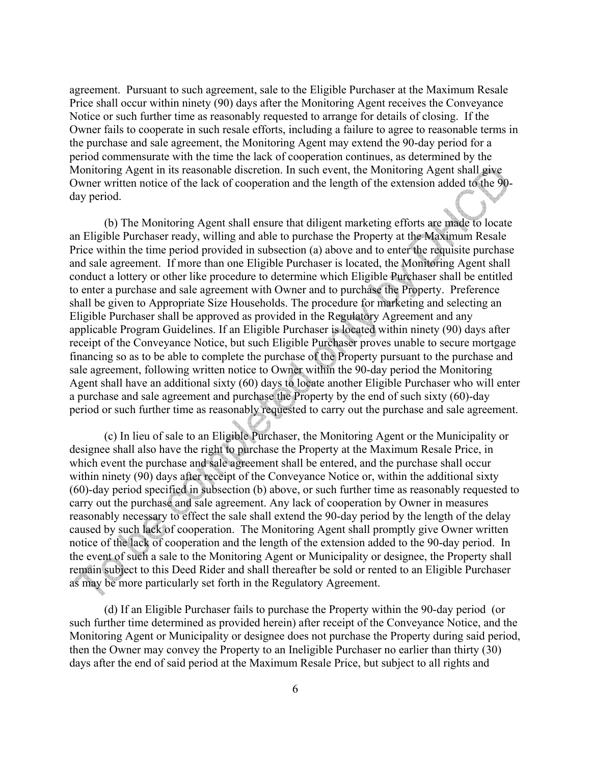agreement. Pursuant to such agreement, sale to the Eligible Purchaser at the Maximum Resale Price shall occur within ninety (90) days after the Monitoring Agent receives the Conveyance Notice or such further time as reasonably requested to arrange for details of closing. If the Owner fails to cooperate in such resale efforts, including a failure to agree to reasonable terms in the purchase and sale agreement, the Monitoring Agent may extend the 90-day period for a period commensurate with the time the lack of cooperation continues, as determined by the Monitoring Agent in its reasonable discretion. In such event, the Monitoring Agent shall give Owner written notice of the lack of cooperation and the length of the extension added to the 90 day period.

 (b) The Monitoring Agent shall ensure that diligent marketing efforts are made to locate an Eligible Purchaser ready, willing and able to purchase the Property at the Maximum Resale Price within the time period provided in subsection (a) above and to enter the requisite purchase and sale agreement. If more than one Eligible Purchaser is located, the Monitoring Agent shall conduct a lottery or other like procedure to determine which Eligible Purchaser shall be entitled to enter a purchase and sale agreement with Owner and to purchase the Property. Preference shall be given to Appropriate Size Households. The procedure for marketing and selecting an Eligible Purchaser shall be approved as provided in the Regulatory Agreement and any applicable Program Guidelines. If an Eligible Purchaser is located within ninety (90) days after receipt of the Conveyance Notice, but such Eligible Purchaser proves unable to secure mortgage financing so as to be able to complete the purchase of the Property pursuant to the purchase and sale agreement, following written notice to Owner within the 90-day period the Monitoring Agent shall have an additional sixty (60) days to locate another Eligible Purchaser who will enter a purchase and sale agreement and purchase the Property by the end of such sixty (60)-day period or such further time as reasonably requested to carry out the purchase and sale agreement.

 (c) In lieu of sale to an Eligible Purchaser, the Monitoring Agent or the Municipality or designee shall also have the right to purchase the Property at the Maximum Resale Price, in which event the purchase and sale agreement shall be entered, and the purchase shall occur within ninety (90) days after receipt of the Conveyance Notice or, within the additional sixty (60)-day period specified in subsection (b) above, or such further time as reasonably requested to carry out the purchase and sale agreement. Any lack of cooperation by Owner in measures reasonably necessary to effect the sale shall extend the 90-day period by the length of the delay caused by such lack of cooperation. The Monitoring Agent shall promptly give Owner written notice of the lack of cooperation and the length of the extension added to the 90-day period. In the event of such a sale to the Monitoring Agent or Municipality or designee, the Property shall remain subject to this Deed Rider and shall thereafter be sold or rented to an Eligible Purchaser as may be more particularly set forth in the Regulatory Agreement.

 (d) If an Eligible Purchaser fails to purchase the Property within the 90-day period (or such further time determined as provided herein) after receipt of the Conveyance Notice, and the Monitoring Agent or Municipality or designee does not purchase the Property during said period, then the Owner may convey the Property to an Ineligible Purchaser no earlier than thirty (30) days after the end of said period at the Maximum Resale Price, but subject to all rights and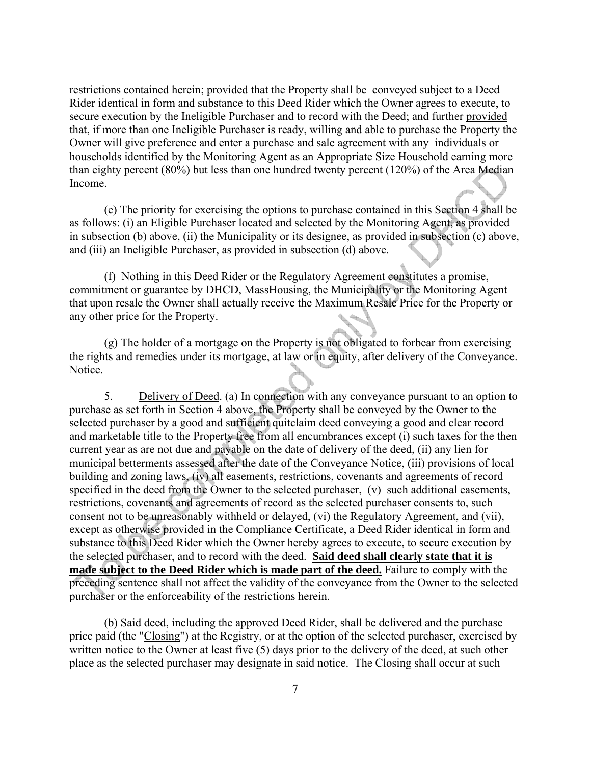restrictions contained herein; provided that the Property shall be conveyed subject to a Deed Rider identical in form and substance to this Deed Rider which the Owner agrees to execute, to secure execution by the Ineligible Purchaser and to record with the Deed; and further provided that, if more than one Ineligible Purchaser is ready, willing and able to purchase the Property the Owner will give preference and enter a purchase and sale agreement with any individuals or households identified by the Monitoring Agent as an Appropriate Size Household earning more than eighty percent (80%) but less than one hundred twenty percent (120%) of the Area Median Income.

 (e) The priority for exercising the options to purchase contained in this Section 4 shall be as follows: (i) an Eligible Purchaser located and selected by the Monitoring Agent, as provided in subsection (b) above, (ii) the Municipality or its designee, as provided in subsection (c) above, and (iii) an Ineligible Purchaser, as provided in subsection (d) above.

 (f) Nothing in this Deed Rider or the Regulatory Agreement constitutes a promise, commitment or guarantee by DHCD, MassHousing, the Municipality or the Monitoring Agent that upon resale the Owner shall actually receive the Maximum Resale Price for the Property or any other price for the Property.

 (g) The holder of a mortgage on the Property is not obligated to forbear from exercising the rights and remedies under its mortgage, at law or in equity, after delivery of the Conveyance. Notice.

 5. Delivery of Deed. (a) In connection with any conveyance pursuant to an option to purchase as set forth in Section 4 above, the Property shall be conveyed by the Owner to the selected purchaser by a good and sufficient quitclaim deed conveying a good and clear record and marketable title to the Property free from all encumbrances except (i) such taxes for the then current year as are not due and payable on the date of delivery of the deed, (ii) any lien for municipal betterments assessed after the date of the Conveyance Notice, (iii) provisions of local building and zoning laws, (iv) all easements, restrictions, covenants and agreements of record specified in the deed from the Owner to the selected purchaser, (v) such additional easements, restrictions, covenants and agreements of record as the selected purchaser consents to, such consent not to be unreasonably withheld or delayed, (vi) the Regulatory Agreement, and (vii), except as otherwise provided in the Compliance Certificate, a Deed Rider identical in form and substance to this Deed Rider which the Owner hereby agrees to execute, to secure execution by the selected purchaser, and to record with the deed. **Said deed shall clearly state that it is made subject to the Deed Rider which is made part of the deed.** Failure to comply with the preceding sentence shall not affect the validity of the conveyance from the Owner to the selected purchaser or the enforceability of the restrictions herein.

 (b) Said deed, including the approved Deed Rider, shall be delivered and the purchase price paid (the "Closing") at the Registry, or at the option of the selected purchaser, exercised by written notice to the Owner at least five (5) days prior to the delivery of the deed, at such other place as the selected purchaser may designate in said notice. The Closing shall occur at such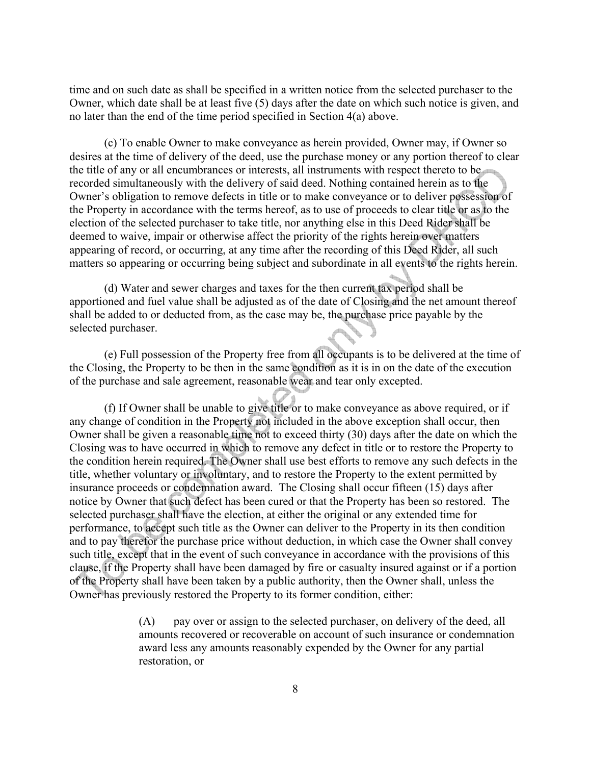time and on such date as shall be specified in a written notice from the selected purchaser to the Owner, which date shall be at least five (5) days after the date on which such notice is given, and no later than the end of the time period specified in Section 4(a) above.

 (c) To enable Owner to make conveyance as herein provided, Owner may, if Owner so desires at the time of delivery of the deed, use the purchase money or any portion thereof to clear the title of any or all encumbrances or interests, all instruments with respect thereto to be recorded simultaneously with the delivery of said deed. Nothing contained herein as to the Owner's obligation to remove defects in title or to make conveyance or to deliver possession of the Property in accordance with the terms hereof, as to use of proceeds to clear title or as to the election of the selected purchaser to take title, nor anything else in this Deed Rider shall be deemed to waive, impair or otherwise affect the priority of the rights herein over matters appearing of record, or occurring, at any time after the recording of this Deed Rider, all such matters so appearing or occurring being subject and subordinate in all events to the rights herein.

 (d) Water and sewer charges and taxes for the then current tax period shall be apportioned and fuel value shall be adjusted as of the date of Closing and the net amount thereof shall be added to or deducted from, as the case may be, the purchase price payable by the selected purchaser.

 (e) Full possession of the Property free from all occupants is to be delivered at the time of the Closing, the Property to be then in the same condition as it is in on the date of the execution of the purchase and sale agreement, reasonable wear and tear only excepted.

 (f) If Owner shall be unable to give title or to make conveyance as above required, or if any change of condition in the Property not included in the above exception shall occur, then Owner shall be given a reasonable time not to exceed thirty (30) days after the date on which the Closing was to have occurred in which to remove any defect in title or to restore the Property to the condition herein required. The Owner shall use best efforts to remove any such defects in the title, whether voluntary or involuntary, and to restore the Property to the extent permitted by insurance proceeds or condemnation award. The Closing shall occur fifteen (15) days after notice by Owner that such defect has been cured or that the Property has been so restored. The selected purchaser shall have the election, at either the original or any extended time for performance, to accept such title as the Owner can deliver to the Property in its then condition and to pay therefor the purchase price without deduction, in which case the Owner shall convey such title, except that in the event of such conveyance in accordance with the provisions of this clause, if the Property shall have been damaged by fire or casualty insured against or if a portion of the Property shall have been taken by a public authority, then the Owner shall, unless the Owner has previously restored the Property to its former condition, either:

> (A) pay over or assign to the selected purchaser, on delivery of the deed, all amounts recovered or recoverable on account of such insurance or condemnation award less any amounts reasonably expended by the Owner for any partial restoration, or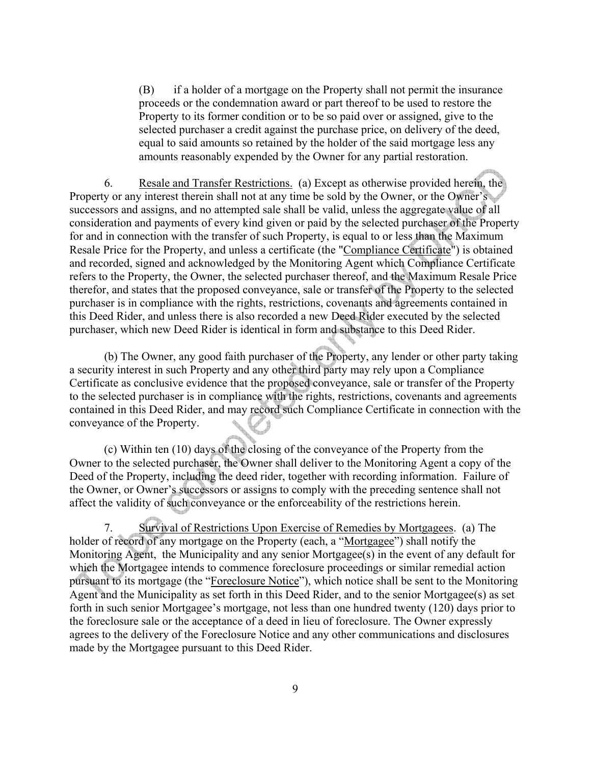(B) if a holder of a mortgage on the Property shall not permit the insurance proceeds or the condemnation award or part thereof to be used to restore the Property to its former condition or to be so paid over or assigned, give to the selected purchaser a credit against the purchase price, on delivery of the deed, equal to said amounts so retained by the holder of the said mortgage less any amounts reasonably expended by the Owner for any partial restoration.

 6. Resale and Transfer Restrictions. (a) Except as otherwise provided herein, the Property or any interest therein shall not at any time be sold by the Owner, or the Owner's successors and assigns, and no attempted sale shall be valid, unless the aggregate value of all consideration and payments of every kind given or paid by the selected purchaser of the Property for and in connection with the transfer of such Property, is equal to or less than the Maximum Resale Price for the Property, and unless a certificate (the "Compliance Certificate") is obtained and recorded, signed and acknowledged by the Monitoring Agent which Compliance Certificate refers to the Property, the Owner, the selected purchaser thereof, and the Maximum Resale Price therefor, and states that the proposed conveyance, sale or transfer of the Property to the selected purchaser is in compliance with the rights, restrictions, covenants and agreements contained in this Deed Rider, and unless there is also recorded a new Deed Rider executed by the selected purchaser, which new Deed Rider is identical in form and substance to this Deed Rider.

 (b) The Owner, any good faith purchaser of the Property, any lender or other party taking a security interest in such Property and any other third party may rely upon a Compliance Certificate as conclusive evidence that the proposed conveyance, sale or transfer of the Property to the selected purchaser is in compliance with the rights, restrictions, covenants and agreements contained in this Deed Rider, and may record such Compliance Certificate in connection with the conveyance of the Property.

 (c) Within ten (10) days of the closing of the conveyance of the Property from the Owner to the selected purchaser, the Owner shall deliver to the Monitoring Agent a copy of the Deed of the Property, including the deed rider, together with recording information. Failure of the Owner, or Owner's successors or assigns to comply with the preceding sentence shall not affect the validity of such conveyance or the enforceability of the restrictions herein.

 7. Survival of Restrictions Upon Exercise of Remedies by Mortgagees. (a) The holder of record of any mortgage on the Property (each, a "Mortgagee") shall notify the Monitoring Agent, the Municipality and any senior Mortgagee(s) in the event of any default for which the Mortgagee intends to commence foreclosure proceedings or similar remedial action pursuant to its mortgage (the "Foreclosure Notice"), which notice shall be sent to the Monitoring Agent and the Municipality as set forth in this Deed Rider, and to the senior Mortgagee(s) as set forth in such senior Mortgagee's mortgage, not less than one hundred twenty (120) days prior to the foreclosure sale or the acceptance of a deed in lieu of foreclosure. The Owner expressly agrees to the delivery of the Foreclosure Notice and any other communications and disclosures made by the Mortgagee pursuant to this Deed Rider.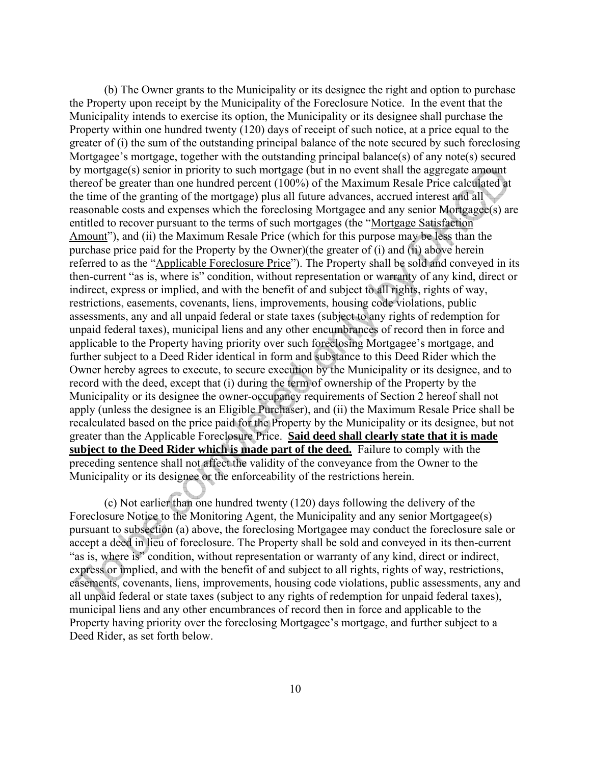(b) The Owner grants to the Municipality or its designee the right and option to purchase the Property upon receipt by the Municipality of the Foreclosure Notice. In the event that the Municipality intends to exercise its option, the Municipality or its designee shall purchase the Property within one hundred twenty (120) days of receipt of such notice, at a price equal to the greater of (i) the sum of the outstanding principal balance of the note secured by such foreclosing Mortgagee's mortgage, together with the outstanding principal balance(s) of any note(s) secured by mortgage(s) senior in priority to such mortgage (but in no event shall the aggregate amount thereof be greater than one hundred percent (100%) of the Maximum Resale Price calculated at the time of the granting of the mortgage) plus all future advances, accrued interest and all reasonable costs and expenses which the foreclosing Mortgagee and any senior Mortgagee(s) are entitled to recover pursuant to the terms of such mortgages (the "Mortgage Satisfaction Amount"), and (ii) the Maximum Resale Price (which for this purpose may be less than the purchase price paid for the Property by the Owner)(the greater of (i) and (ii) above herein referred to as the "Applicable Foreclosure Price"). The Property shall be sold and conveyed in its then-current "as is, where is" condition, without representation or warranty of any kind, direct or indirect, express or implied, and with the benefit of and subject to all rights, rights of way, restrictions, easements, covenants, liens, improvements, housing code violations, public assessments, any and all unpaid federal or state taxes (subject to any rights of redemption for unpaid federal taxes), municipal liens and any other encumbrances of record then in force and applicable to the Property having priority over such foreclosing Mortgagee's mortgage, and further subject to a Deed Rider identical in form and substance to this Deed Rider which the Owner hereby agrees to execute, to secure execution by the Municipality or its designee, and to record with the deed, except that (i) during the term of ownership of the Property by the Municipality or its designee the owner-occupancy requirements of Section 2 hereof shall not apply (unless the designee is an Eligible Purchaser), and (ii) the Maximum Resale Price shall be recalculated based on the price paid for the Property by the Municipality or its designee, but not greater than the Applicable Foreclosure Price. **Said deed shall clearly state that it is made subject to the Deed Rider which is made part of the deed.** Failure to comply with the preceding sentence shall not affect the validity of the conveyance from the Owner to the Municipality or its designee or the enforceability of the restrictions herein.

 (c) Not earlier than one hundred twenty (120) days following the delivery of the Foreclosure Notice to the Monitoring Agent, the Municipality and any senior Mortgagee(s) pursuant to subsection (a) above, the foreclosing Mortgagee may conduct the foreclosure sale or accept a deed in lieu of foreclosure. The Property shall be sold and conveyed in its then-current "as is, where is" condition, without representation or warranty of any kind, direct or indirect, express or implied, and with the benefit of and subject to all rights, rights of way, restrictions, easements, covenants, liens, improvements, housing code violations, public assessments, any and all unpaid federal or state taxes (subject to any rights of redemption for unpaid federal taxes), municipal liens and any other encumbrances of record then in force and applicable to the Property having priority over the foreclosing Mortgagee's mortgage, and further subject to a Deed Rider, as set forth below.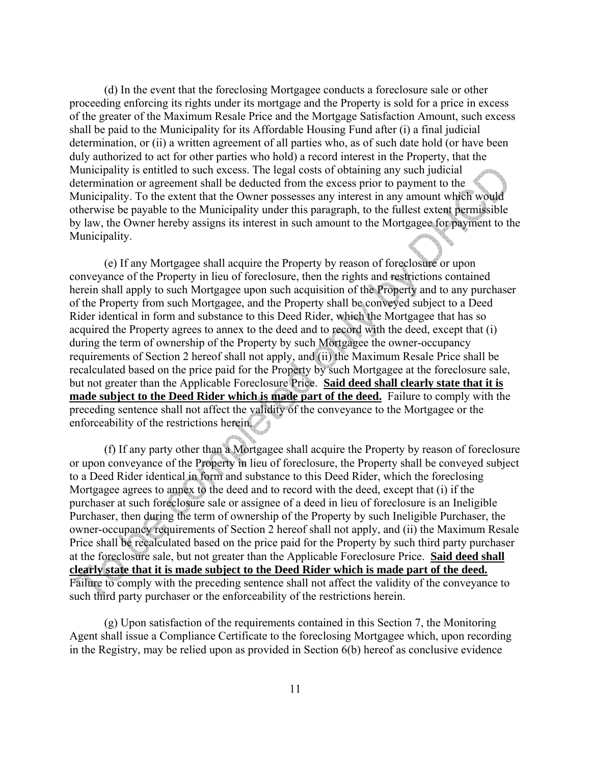(d) In the event that the foreclosing Mortgagee conducts a foreclosure sale or other proceeding enforcing its rights under its mortgage and the Property is sold for a price in excess of the greater of the Maximum Resale Price and the Mortgage Satisfaction Amount, such excess shall be paid to the Municipality for its Affordable Housing Fund after (i) a final judicial determination, or (ii) a written agreement of all parties who, as of such date hold (or have been duly authorized to act for other parties who hold) a record interest in the Property, that the Municipality is entitled to such excess. The legal costs of obtaining any such judicial determination or agreement shall be deducted from the excess prior to payment to the Municipality. To the extent that the Owner possesses any interest in any amount which would otherwise be payable to the Municipality under this paragraph, to the fullest extent permissible by law, the Owner hereby assigns its interest in such amount to the Mortgagee for payment to the Municipality.

 (e) If any Mortgagee shall acquire the Property by reason of foreclosure or upon conveyance of the Property in lieu of foreclosure, then the rights and restrictions contained herein shall apply to such Mortgagee upon such acquisition of the Property and to any purchaser of the Property from such Mortgagee, and the Property shall be conveyed subject to a Deed Rider identical in form and substance to this Deed Rider, which the Mortgagee that has so acquired the Property agrees to annex to the deed and to record with the deed, except that (i) during the term of ownership of the Property by such Mortgagee the owner-occupancy requirements of Section 2 hereof shall not apply, and (ii) the Maximum Resale Price shall be recalculated based on the price paid for the Property by such Mortgagee at the foreclosure sale, but not greater than the Applicable Foreclosure Price. **Said deed shall clearly state that it is made subject to the Deed Rider which is made part of the deed.** Failure to comply with the preceding sentence shall not affect the validity of the conveyance to the Mortgagee or the enforceability of the restrictions herein.

 (f) If any party other than a Mortgagee shall acquire the Property by reason of foreclosure or upon conveyance of the Property in lieu of foreclosure, the Property shall be conveyed subject to a Deed Rider identical in form and substance to this Deed Rider, which the foreclosing Mortgagee agrees to annex to the deed and to record with the deed, except that (i) if the purchaser at such foreclosure sale or assignee of a deed in lieu of foreclosure is an Ineligible Purchaser, then during the term of ownership of the Property by such Ineligible Purchaser, the owner-occupancy requirements of Section 2 hereof shall not apply, and (ii) the Maximum Resale Price shall be recalculated based on the price paid for the Property by such third party purchaser at the foreclosure sale, but not greater than the Applicable Foreclosure Price. **Said deed shall clearly state that it is made subject to the Deed Rider which is made part of the deed.** Failure to comply with the preceding sentence shall not affect the validity of the conveyance to such third party purchaser or the enforceability of the restrictions herein.

 (g) Upon satisfaction of the requirements contained in this Section 7, the Monitoring Agent shall issue a Compliance Certificate to the foreclosing Mortgagee which, upon recording in the Registry, may be relied upon as provided in Section 6(b) hereof as conclusive evidence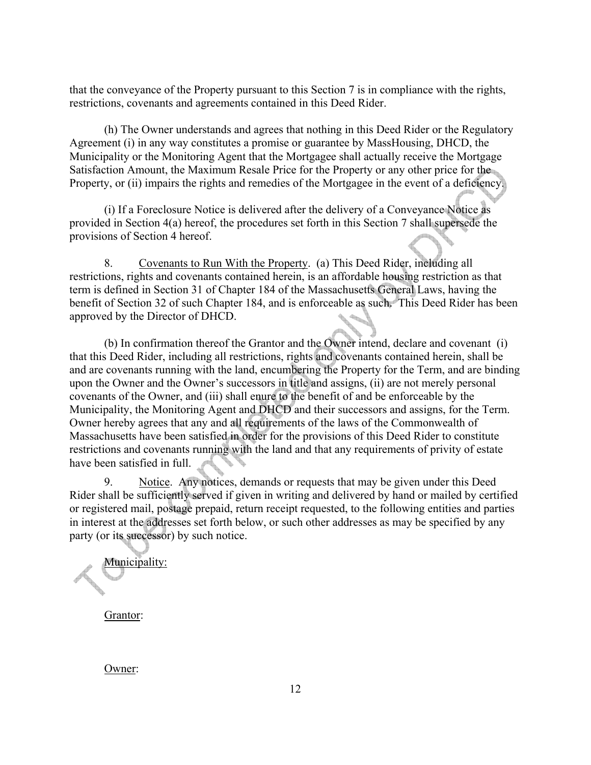that the conveyance of the Property pursuant to this Section 7 is in compliance with the rights, restrictions, covenants and agreements contained in this Deed Rider.

 (h) The Owner understands and agrees that nothing in this Deed Rider or the Regulatory Agreement (i) in any way constitutes a promise or guarantee by MassHousing, DHCD, the Municipality or the Monitoring Agent that the Mortgagee shall actually receive the Mortgage Satisfaction Amount, the Maximum Resale Price for the Property or any other price for the Property, or (ii) impairs the rights and remedies of the Mortgagee in the event of a deficiency.

(i) If a Foreclosure Notice is delivered after the delivery of a Conveyance Notice as provided in Section 4(a) hereof, the procedures set forth in this Section 7 shall supersede the provisions of Section 4 hereof.

 8. Covenants to Run With the Property. (a) This Deed Rider, including all restrictions, rights and covenants contained herein, is an affordable housing restriction as that term is defined in Section 31 of Chapter 184 of the Massachusetts General Laws, having the benefit of Section 32 of such Chapter 184, and is enforceable as such. This Deed Rider has been approved by the Director of DHCD.

 (b) In confirmation thereof the Grantor and the Owner intend, declare and covenant (i) that this Deed Rider, including all restrictions, rights and covenants contained herein, shall be and are covenants running with the land, encumbering the Property for the Term, and are binding upon the Owner and the Owner's successors in title and assigns, (ii) are not merely personal covenants of the Owner, and (iii) shall enure to the benefit of and be enforceable by the Municipality, the Monitoring Agent and DHCD and their successors and assigns, for the Term. Owner hereby agrees that any and all requirements of the laws of the Commonwealth of Massachusetts have been satisfied in order for the provisions of this Deed Rider to constitute restrictions and covenants running with the land and that any requirements of privity of estate have been satisfied in full.

 9. Notice. Any notices, demands or requests that may be given under this Deed Rider shall be sufficiently served if given in writing and delivered by hand or mailed by certified or registered mail, postage prepaid, return receipt requested, to the following entities and parties in interest at the addresses set forth below, or such other addresses as may be specified by any party (or its successor) by such notice.

Municipality:

Grantor:

Owner: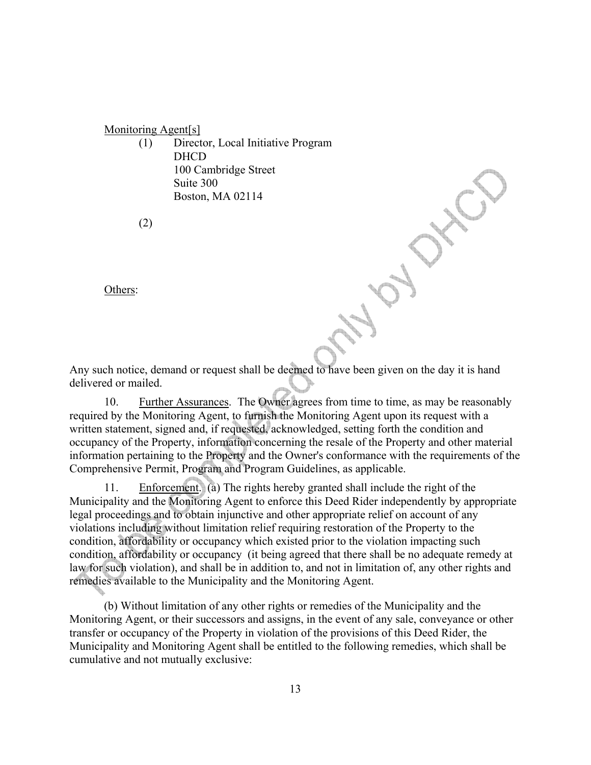Monitoring Agent[s]

 (1) Director, Local Initiative Program DHCD 100 Cambridge Street Suite 300 Boston, MA 02114

(2)

Others:

Any such notice, demand or request shall be deemed to have been given on the day it is hand delivered or mailed.

 10. Further Assurances. The Owner agrees from time to time, as may be reasonably required by the Monitoring Agent, to furnish the Monitoring Agent upon its request with a written statement, signed and, if requested, acknowledged, setting forth the condition and occupancy of the Property, information concerning the resale of the Property and other material information pertaining to the Property and the Owner's conformance with the requirements of the Comprehensive Permit, Program and Program Guidelines, as applicable.

11. Enforcement. (a) The rights hereby granted shall include the right of the Municipality and the Monitoring Agent to enforce this Deed Rider independently by appropriate legal proceedings and to obtain injunctive and other appropriate relief on account of any violations including without limitation relief requiring restoration of the Property to the condition, affordability or occupancy which existed prior to the violation impacting such condition, affordability or occupancy (it being agreed that there shall be no adequate remedy at law for such violation), and shall be in addition to, and not in limitation of, any other rights and remedies available to the Municipality and the Monitoring Agent.

(b) Without limitation of any other rights or remedies of the Municipality and the Monitoring Agent, or their successors and assigns, in the event of any sale, conveyance or other transfer or occupancy of the Property in violation of the provisions of this Deed Rider, the Municipality and Monitoring Agent shall be entitled to the following remedies, which shall be cumulative and not mutually exclusive: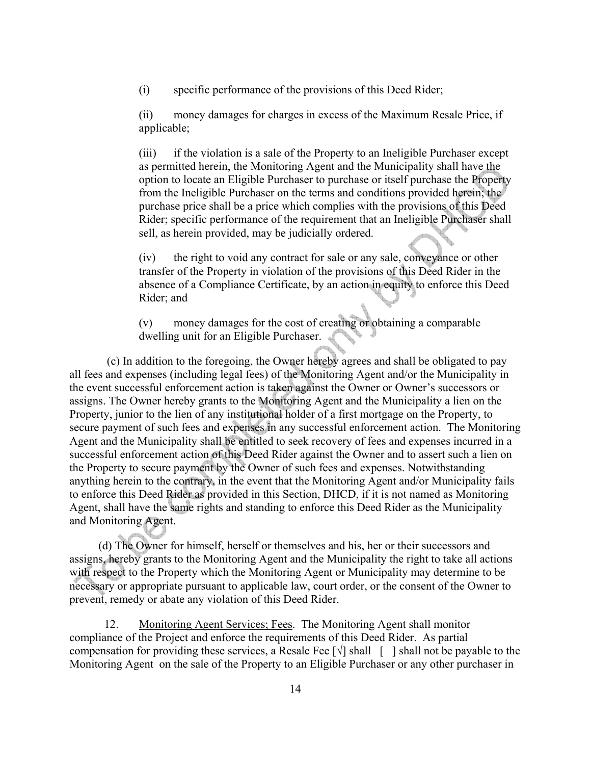(i) specific performance of the provisions of this Deed Rider;

(ii) money damages for charges in excess of the Maximum Resale Price, if applicable;

(iii) if the violation is a sale of the Property to an Ineligible Purchaser except as permitted herein, the Monitoring Agent and the Municipality shall have the option to locate an Eligible Purchaser to purchase or itself purchase the Property from the Ineligible Purchaser on the terms and conditions provided herein; the purchase price shall be a price which complies with the provisions of this Deed Rider; specific performance of the requirement that an Ineligible Purchaser shall sell, as herein provided, may be judicially ordered.

(iv) the right to void any contract for sale or any sale, conveyance or other transfer of the Property in violation of the provisions of this Deed Rider in the absence of a Compliance Certificate, by an action in equity to enforce this Deed Rider; and

(v) money damages for the cost of creating or obtaining a comparable dwelling unit for an Eligible Purchaser.

 (c) In addition to the foregoing, the Owner hereby agrees and shall be obligated to pay all fees and expenses (including legal fees) of the Monitoring Agent and/or the Municipality in the event successful enforcement action is taken against the Owner or Owner's successors or assigns. The Owner hereby grants to the Monitoring Agent and the Municipality a lien on the Property, junior to the lien of any institutional holder of a first mortgage on the Property, to secure payment of such fees and expenses in any successful enforcement action. The Monitoring Agent and the Municipality shall be entitled to seek recovery of fees and expenses incurred in a successful enforcement action of this Deed Rider against the Owner and to assert such a lien on the Property to secure payment by the Owner of such fees and expenses. Notwithstanding anything herein to the contrary, in the event that the Monitoring Agent and/or Municipality fails to enforce this Deed Rider as provided in this Section, DHCD, if it is not named as Monitoring Agent, shall have the same rights and standing to enforce this Deed Rider as the Municipality and Monitoring Agent.

(d) The Owner for himself, herself or themselves and his, her or their successors and assigns, hereby grants to the Monitoring Agent and the Municipality the right to take all actions with respect to the Property which the Monitoring Agent or Municipality may determine to be necessary or appropriate pursuant to applicable law, court order, or the consent of the Owner to prevent, remedy or abate any violation of this Deed Rider.

 12. Monitoring Agent Services; Fees. The Monitoring Agent shall monitor compliance of the Project and enforce the requirements of this Deed Rider. As partial compensation for providing these services, a Resale Fee  $[\sqrt{\ }]$  shall  $[\ ]$  shall not be payable to the Monitoring Agent on the sale of the Property to an Eligible Purchaser or any other purchaser in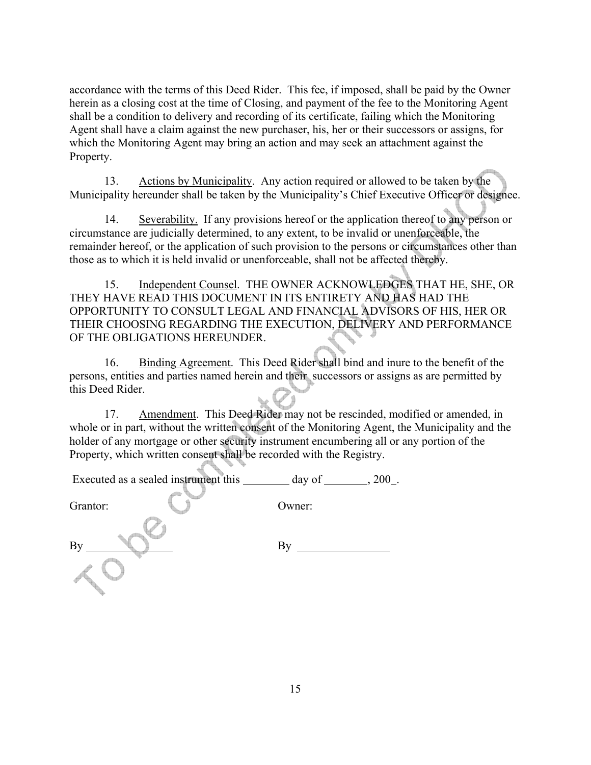accordance with the terms of this Deed Rider. This fee, if imposed, shall be paid by the Owner herein as a closing cost at the time of Closing, and payment of the fee to the Monitoring Agent shall be a condition to delivery and recording of its certificate, failing which the Monitoring Agent shall have a claim against the new purchaser, his, her or their successors or assigns, for which the Monitoring Agent may bring an action and may seek an attachment against the Property.

 13. Actions by Municipality. Any action required or allowed to be taken by the Municipality hereunder shall be taken by the Municipality's Chief Executive Officer or designee.

14. Severability. If any provisions hereof or the application thereof to any person or circumstance are judicially determined, to any extent, to be invalid or unenforceable, the remainder hereof, or the application of such provision to the persons or circumstances other than those as to which it is held invalid or unenforceable, shall not be affected thereby.

 15. Independent Counsel. THE OWNER ACKNOWLEDGES THAT HE, SHE, OR THEY HAVE READ THIS DOCUMENT IN ITS ENTIRETY AND HAS HAD THE OPPORTUNITY TO CONSULT LEGAL AND FINANCIAL ADVISORS OF HIS, HER OR THEIR CHOOSING REGARDING THE EXECUTION, DELIVERY AND PERFORMANCE OF THE OBLIGATIONS HEREUNDER.

 16. Binding Agreement. This Deed Rider shall bind and inure to the benefit of the persons, entities and parties named herein and their successors or assigns as are permitted by this Deed Rider.

 17. Amendment. This Deed Rider may not be rescinded, modified or amended, in whole or in part, without the written consent of the Monitoring Agent, the Municipality and the holder of any mortgage or other security instrument encumbering all or any portion of the Property, which written consent shall be recorded with the Registry.

Executed as a sealed instrument this  $\frac{1}{200}$  day of  $\frac{1}{200}$ .

Grantor: Owner:

 $\frac{3y}{100}$  By

15